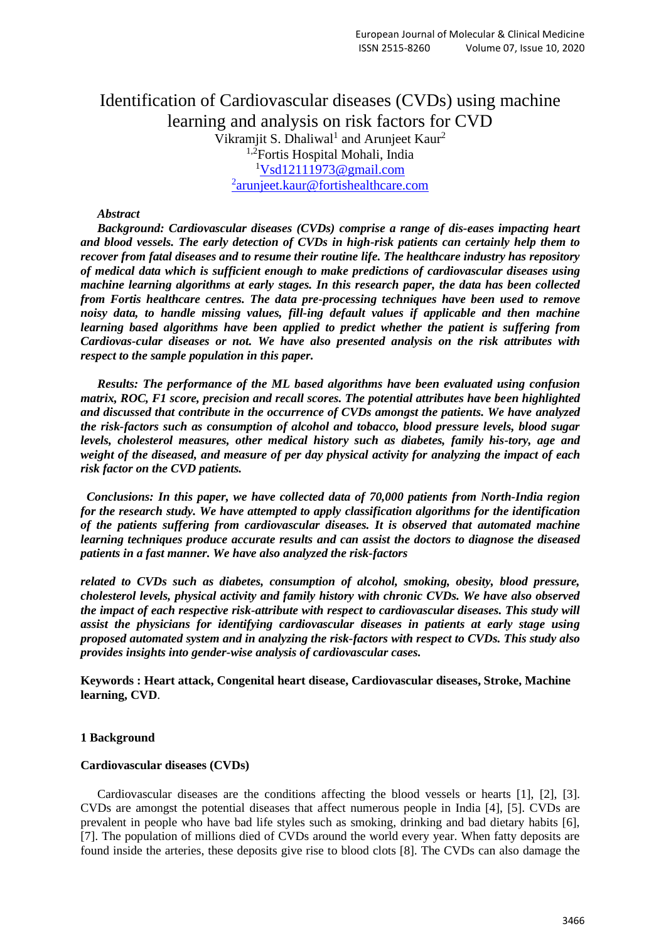# Identification of Cardiovascular diseases (CVDs) using machine learning and analysis on risk factors for CVD Vikramjit S. Dhaliwal<sup>1</sup> and Arunjeet Kaur<sup>2</sup> <sup>1,2</sup>Fortis Hospital Mohali, India  $1$ Vsd $12111973$ @gmail.com <sup>2</sup>[arunjeet.kaur@fortishealthcare.com](mailto:arunjeet.kaur@fortishealthcare.com)

## *Abstract*

*Background: Cardiovascular diseases (CVDs) comprise a range of dis-eases impacting heart and blood vessels. The early detection of CVDs in high-risk patients can certainly help them to recover from fatal diseases and to resume their routine life. The healthcare industry has repository of medical data which is sufficient enough to make predictions of cardiovascular diseases using machine learning algorithms at early stages. In this research paper, the data has been collected from Fortis healthcare centres. The data pre-processing techniques have been used to remove noisy data, to handle missing values, fill-ing default values if applicable and then machine learning based algorithms have been applied to predict whether the patient is suffering from Cardiovas-cular diseases or not. We have also presented analysis on the risk attributes with respect to the sample population in this paper.*

*Results: The performance of the ML based algorithms have been evaluated using confusion matrix, ROC, F1 score, precision and recall scores. The potential attributes have been highlighted and discussed that contribute in the occurrence of CVDs amongst the patients. We have analyzed the risk-factors such as consumption of alcohol and tobacco, blood pressure levels, blood sugar levels, cholesterol measures, other medical history such as diabetes, family his-tory, age and weight of the diseased, and measure of per day physical activity for analyzing the impact of each risk factor on the CVD patients.*

 *Conclusions: In this paper, we have collected data of 70,000 patients from North-India region for the research study. We have attempted to apply classification algorithms for the identification of the patients suffering from cardiovascular diseases. It is observed that automated machine learning techniques produce accurate results and can assist the doctors to diagnose the diseased patients in a fast manner. We have also analyzed the risk-factors* 

*related to CVDs such as diabetes, consumption of alcohol, smoking, obesity, blood pressure, cholesterol levels, physical activity and family history with chronic CVDs. We have also observed the impact of each respective risk-attribute with respect to cardiovascular diseases. This study will assist the physicians for identifying cardiovascular diseases in patients at early stage using proposed automated system and in analyzing the risk-factors with respect to CVDs. This study also provides insights into gender-wise analysis of cardiovascular cases.*

**Keywords : Heart attack, Congenital heart disease, Cardiovascular diseases, Stroke, Machine learning, CVD**.

## **1 Background**

#### **Cardiovascular diseases (CVDs)**

Cardiovascular diseases are the conditions affecting the blood vessels or hearts [1], [2], [3]. CVDs are amongst the potential diseases that affect numerous people in India [4], [5]. CVDs are prevalent in people who have bad life styles such as smoking, drinking and bad dietary habits [6], [7]. The population of millions died of CVDs around the world every year. When fatty deposits are found inside the arteries, these deposits give rise to blood clots [8]. The CVDs can also damage the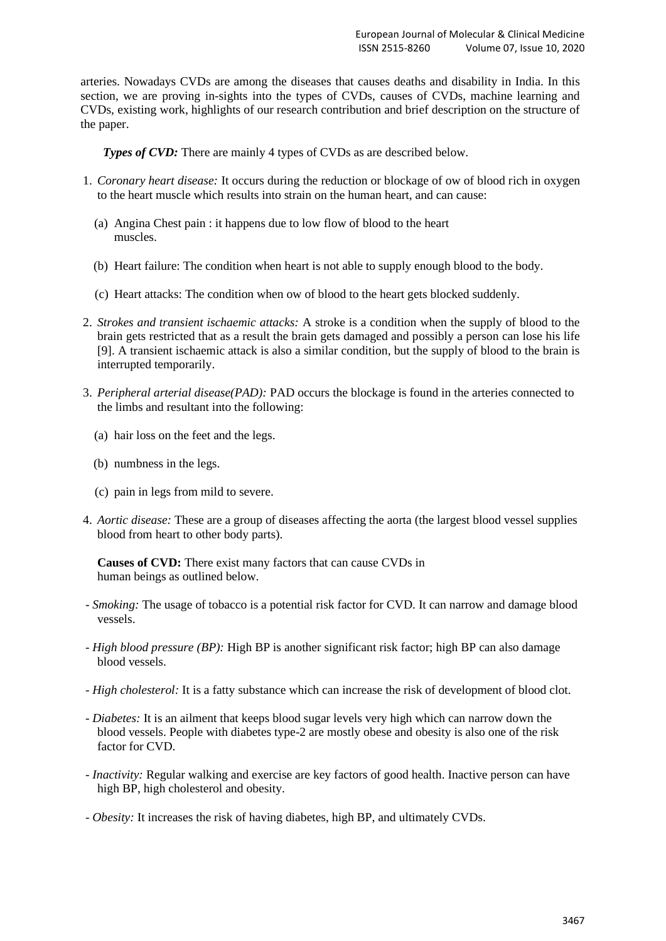arteries. Nowadays CVDs are among the diseases that causes deaths and disability in India. In this section, we are proving in-sights into the types of CVDs, causes of CVDs, machine learning and CVDs, existing work, highlights of our research contribution and brief description on the structure of the paper.

*Types of CVD:* There are mainly 4 types of CVDs as are described below.

- 1. *Coronary heart disease:* It occurs during the reduction or blockage of ow of blood rich in oxygen to the heart muscle which results into strain on the human heart, and can cause:
	- (a) Angina Chest pain : it happens due to low flow of blood to the heart muscles.
	- (b) Heart failure: The condition when heart is not able to supply enough blood to the body.
	- (c) Heart attacks: The condition when ow of blood to the heart gets blocked suddenly.
- 2. *Strokes and transient ischaemic attacks:* A stroke is a condition when the supply of blood to the brain gets restricted that as a result the brain gets damaged and possibly a person can lose his life [9]. A transient ischaemic attack is also a similar condition, but the supply of blood to the brain is interrupted temporarily.
- 3. *Peripheral arterial disease(PAD):* PAD occurs the blockage is found in the arteries connected to the limbs and resultant into the following:
	- (a) hair loss on the feet and the legs.
	- (b) numbness in the legs.
	- (c) pain in legs from mild to severe.
- 4. *Aortic disease:* These are a group of diseases affecting the aorta (the largest blood vessel supplies blood from heart to other body parts).

**Causes of CVD:** There exist many factors that can cause CVDs in human beings as outlined below.

- *Smoking:* The usage of tobacco is a potential risk factor for CVD. It can narrow and damage blood vessels.
- *High blood pressure (BP):* High BP is another significant risk factor; high BP can also damage blood vessels.
- *High cholesterol:* It is a fatty substance which can increase the risk of development of blood clot.
- *Diabetes:* It is an ailment that keeps blood sugar levels very high which can narrow down the blood vessels. People with diabetes type-2 are mostly obese and obesity is also one of the risk factor for CVD.
- *Inactivity:* Regular walking and exercise are key factors of good health. Inactive person can have high BP, high cholesterol and obesity.
- *Obesity:* It increases the risk of having diabetes, high BP, and ultimately CVDs.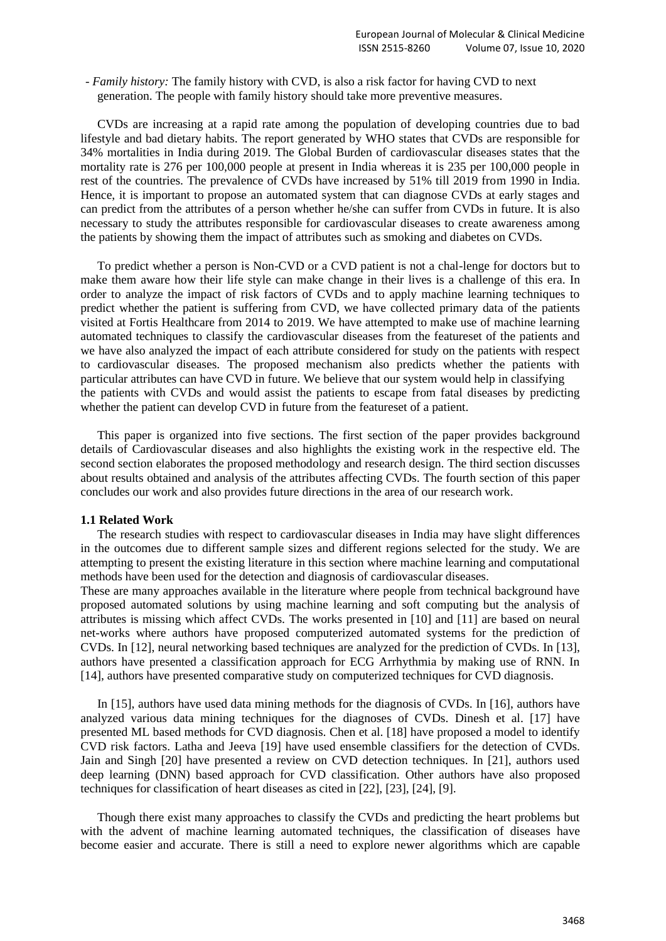- *Family history:* The family history with CVD, is also a risk factor for having CVD to next generation. The people with family history should take more preventive measures.

CVDs are increasing at a rapid rate among the population of developing countries due to bad lifestyle and bad dietary habits. The report generated by WHO states that CVDs are responsible for 34% mortalities in India during 2019. The Global Burden of cardiovascular diseases states that the mortality rate is 276 per 100,000 people at present in India whereas it is 235 per 100,000 people in rest of the countries. The prevalence of CVDs have increased by 51% till 2019 from 1990 in India. Hence, it is important to propose an automated system that can diagnose CVDs at early stages and can predict from the attributes of a person whether he/she can suffer from CVDs in future. It is also necessary to study the attributes responsible for cardiovascular diseases to create awareness among the patients by showing them the impact of attributes such as smoking and diabetes on CVDs.

To predict whether a person is Non-CVD or a CVD patient is not a chal-lenge for doctors but to make them aware how their life style can make change in their lives is a challenge of this era. In order to analyze the impact of risk factors of CVDs and to apply machine learning techniques to predict whether the patient is suffering from CVD, we have collected primary data of the patients visited at Fortis Healthcare from 2014 to 2019. We have attempted to make use of machine learning automated techniques to classify the cardiovascular diseases from the featureset of the patients and we have also analyzed the impact of each attribute considered for study on the patients with respect to cardiovascular diseases. The proposed mechanism also predicts whether the patients with particular attributes can have CVD in future. We believe that our system would help in classifying the patients with CVDs and would assist the patients to escape from fatal diseases by predicting whether the patient can develop CVD in future from the featureset of a patient.

This paper is organized into five sections. The first section of the paper provides background details of Cardiovascular diseases and also highlights the existing work in the respective eld. The second section elaborates the proposed methodology and research design. The third section discusses about results obtained and analysis of the attributes affecting CVDs. The fourth section of this paper concludes our work and also provides future directions in the area of our research work.

#### **1.1 Related Work**

The research studies with respect to cardiovascular diseases in India may have slight differences in the outcomes due to different sample sizes and different regions selected for the study. We are attempting to present the existing literature in this section where machine learning and computational methods have been used for the detection and diagnosis of cardiovascular diseases.

These are many approaches available in the literature where people from technical background have proposed automated solutions by using machine learning and soft computing but the analysis of attributes is missing which affect CVDs. The works presented in [10] and [11] are based on neural net-works where authors have proposed computerized automated systems for the prediction of CVDs. In [12], neural networking based techniques are analyzed for the prediction of CVDs. In [13], authors have presented a classification approach for ECG Arrhythmia by making use of RNN. In [14], authors have presented comparative study on computerized techniques for CVD diagnosis.

In [15], authors have used data mining methods for the diagnosis of CVDs. In [16], authors have analyzed various data mining techniques for the diagnoses of CVDs. Dinesh et al. [17] have presented ML based methods for CVD diagnosis. Chen et al. [18] have proposed a model to identify CVD risk factors. Latha and Jeeva [19] have used ensemble classifiers for the detection of CVDs. Jain and Singh [20] have presented a review on CVD detection techniques. In [21], authors used deep learning (DNN) based approach for CVD classification. Other authors have also proposed techniques for classification of heart diseases as cited in [22], [23], [24], [9].

Though there exist many approaches to classify the CVDs and predicting the heart problems but with the advent of machine learning automated techniques, the classification of diseases have become easier and accurate. There is still a need to explore newer algorithms which are capable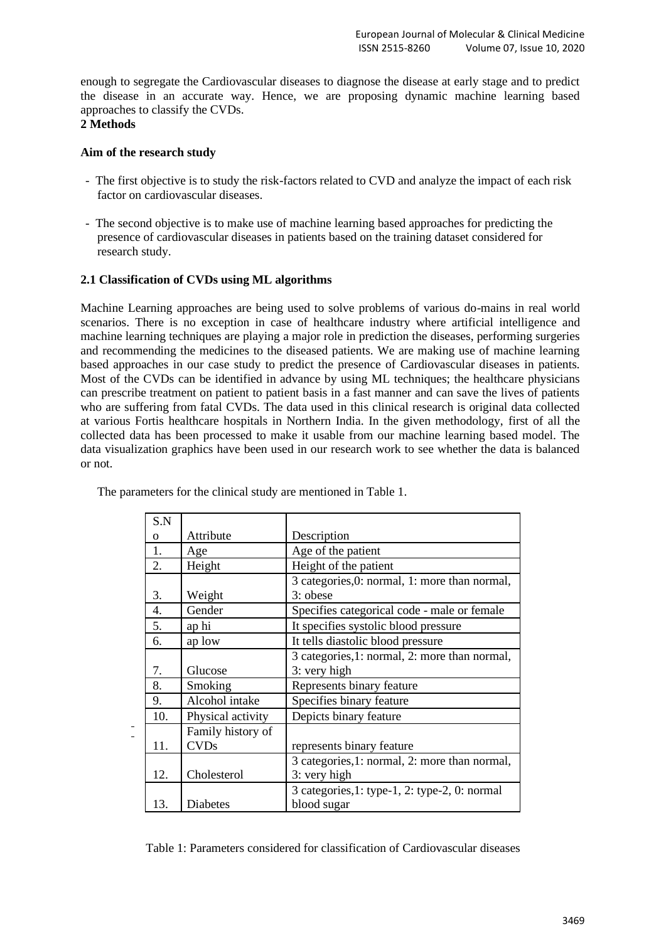enough to segregate the Cardiovascular diseases to diagnose the disease at early stage and to predict the disease in an accurate way. Hence, we are proposing dynamic machine learning based approaches to classify the CVDs.

# **2 Methods**

# **Aim of the research study**

- The first objective is to study the risk-factors related to CVD and analyze the impact of each risk factor on cardiovascular diseases.
- The second objective is to make use of machine learning based approaches for predicting the presence of cardiovascular diseases in patients based on the training dataset considered for research study.

# **2.1 Classification of CVDs using ML algorithms**

Machine Learning approaches are being used to solve problems of various do-mains in real world scenarios. There is no exception in case of healthcare industry where artificial intelligence and machine learning techniques are playing a major role in prediction the diseases, performing surgeries and recommending the medicines to the diseased patients. We are making use of machine learning based approaches in our case study to predict the presence of Cardiovascular diseases in patients. Most of the CVDs can be identified in advance by using ML techniques; the healthcare physicians can prescribe treatment on patient to patient basis in a fast manner and can save the lives of patients who are suffering from fatal CVDs. The data used in this clinical research is original data collected at various Fortis healthcare hospitals in Northern India. In the given methodology, first of all the collected data has been processed to make it usable from our machine learning based model. The data visualization graphics have been used in our research work to see whether the data is balanced or not.

| S.N      |                   |                                                   |  |  |
|----------|-------------------|---------------------------------------------------|--|--|
| $\Omega$ | Attribute         | Description                                       |  |  |
| 1.       | Age               | Age of the patient                                |  |  |
| 2.       | Height            | Height of the patient                             |  |  |
|          |                   | 3 categories, 0: normal, 1: more than normal,     |  |  |
| 3.       | Weight            | 3: obese                                          |  |  |
| 4.       | Gender            | Specifies categorical code - male or female       |  |  |
| 5.       | ap hi             | It specifies systolic blood pressure              |  |  |
| 6.       | ap low            | It tells diastolic blood pressure                 |  |  |
|          |                   | 3 categories, 1: normal, 2: more than normal,     |  |  |
| 7.       | Glucose           | 3: very high                                      |  |  |
| 8.       | Smoking           | Represents binary feature                         |  |  |
| 9.       | Alcohol intake    | Specifies binary feature                          |  |  |
| 10.      | Physical activity | Depicts binary feature                            |  |  |
|          | Family history of |                                                   |  |  |
| 11.      | <b>CVDs</b>       | represents binary feature                         |  |  |
|          |                   | 3 categories, 1: normal, 2: more than normal,     |  |  |
| 12.      | Cholesterol       | 3: very high                                      |  |  |
|          |                   | 3 categories, $1:$ type-1, $2:$ type-2, 0: normal |  |  |
| 13.      | Diabetes          | blood sugar                                       |  |  |

The parameters for the clinical study are mentioned in Table 1.

Table 1: Parameters considered for classification of Cardiovascular diseases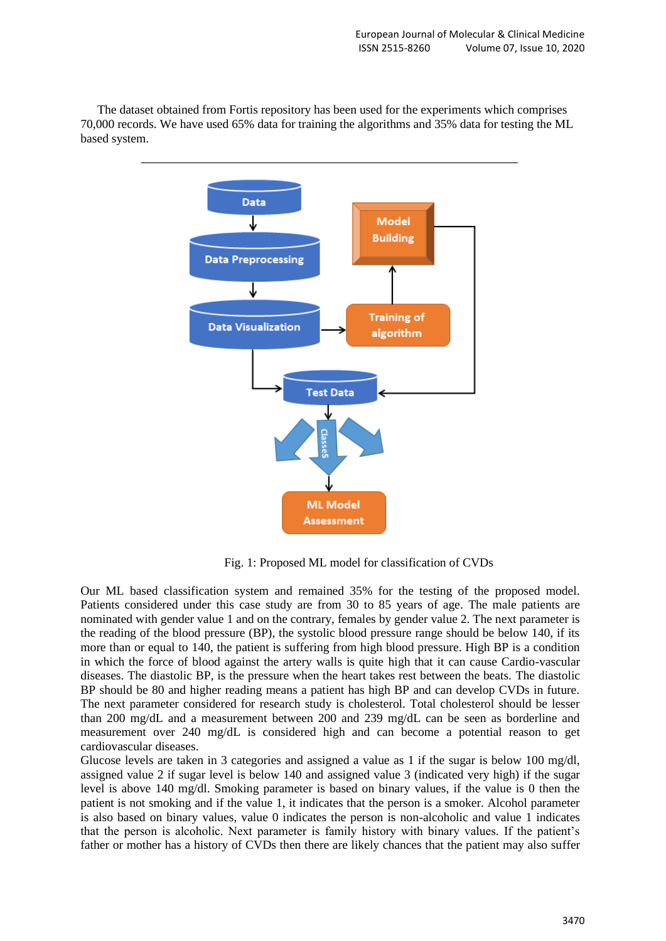

The dataset obtained from Fortis repository has been used for the experiments which comprises 70,000 records. We have used 65% data for training the algorithms and 35% data for testing the ML based system.

Fig. 1: Proposed ML model for classification of CVDs

Our ML based classification system and remained 35% for the testing of the proposed model. Patients considered under this case study are from 30 to 85 years of age. The male patients are nominated with gender value 1 and on the contrary, females by gender value 2. The next parameter is the reading of the blood pressure (BP), the systolic blood pressure range should be below 140, if its more than or equal to 140, the patient is suffering from high blood pressure. High BP is a condition in which the force of blood against the artery walls is quite high that it can cause Cardio-vascular diseases. The diastolic BP, is the pressure when the heart takes rest between the beats. The diastolic BP should be 80 and higher reading means a patient has high BP and can develop CVDs in future. The next parameter considered for research study is cholesterol. Total cholesterol should be lesser than 200 mg/dL and a measurement between 200 and 239 mg/dL can be seen as borderline and measurement over 240 mg/dL is considered high and can become a potential reason to get cardiovascular diseases.

Glucose levels are taken in 3 categories and assigned a value as 1 if the sugar is below 100 mg/dl, assigned value 2 if sugar level is below 140 and assigned value 3 (indicated very high) if the sugar level is above 140 mg/dl. Smoking parameter is based on binary values, if the value is 0 then the patient is not smoking and if the value 1, it indicates that the person is a smoker. Alcohol parameter is also based on binary values, value 0 indicates the person is non-alcoholic and value 1 indicates that the person is alcoholic. Next parameter is family history with binary values. If the patient's father or mother has a history of CVDs then there are likely chances that the patient may also suffer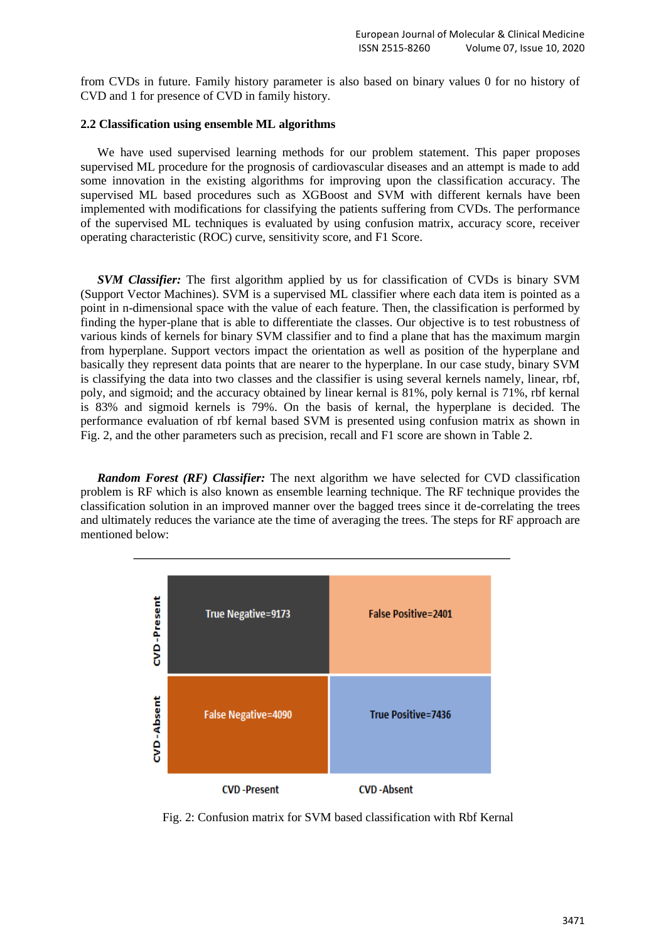from CVDs in future. Family history parameter is also based on binary values 0 for no history of CVD and 1 for presence of CVD in family history.

# **2.2 Classification using ensemble ML algorithms**

We have used supervised learning methods for our problem statement. This paper proposes supervised ML procedure for the prognosis of cardiovascular diseases and an attempt is made to add some innovation in the existing algorithms for improving upon the classification accuracy. The supervised ML based procedures such as XGBoost and SVM with different kernals have been implemented with modifications for classifying the patients suffering from CVDs. The performance of the supervised ML techniques is evaluated by using confusion matrix, accuracy score, receiver operating characteristic (ROC) curve, sensitivity score, and F1 Score.

*SVM Classifier:* The first algorithm applied by us for classification of CVDs is binary SVM (Support Vector Machines). SVM is a supervised ML classifier where each data item is pointed as a point in n-dimensional space with the value of each feature. Then, the classification is performed by finding the hyper-plane that is able to differentiate the classes. Our objective is to test robustness of various kinds of kernels for binary SVM classifier and to find a plane that has the maximum margin from hyperplane. Support vectors impact the orientation as well as position of the hyperplane and basically they represent data points that are nearer to the hyperplane. In our case study, binary SVM is classifying the data into two classes and the classifier is using several kernels namely, linear, rbf, poly, and sigmoid; and the accuracy obtained by linear kernal is 81%, poly kernal is 71%, rbf kernal is 83% and sigmoid kernels is 79%. On the basis of kernal, the hyperplane is decided. The performance evaluation of rbf kernal based SVM is presented using confusion matrix as shown in Fig. 2, and the other parameters such as precision, recall and F1 score are shown in Table 2.

*Random Forest (RF) Classifier:* The next algorithm we have selected for CVD classification problem is RF which is also known as ensemble learning technique. The RF technique provides the classification solution in an improved manner over the bagged trees since it de-correlating the trees and ultimately reduces the variance ate the time of averaging the trees. The steps for RF approach are mentioned below:



Fig. 2: Confusion matrix for SVM based classification with Rbf Kernal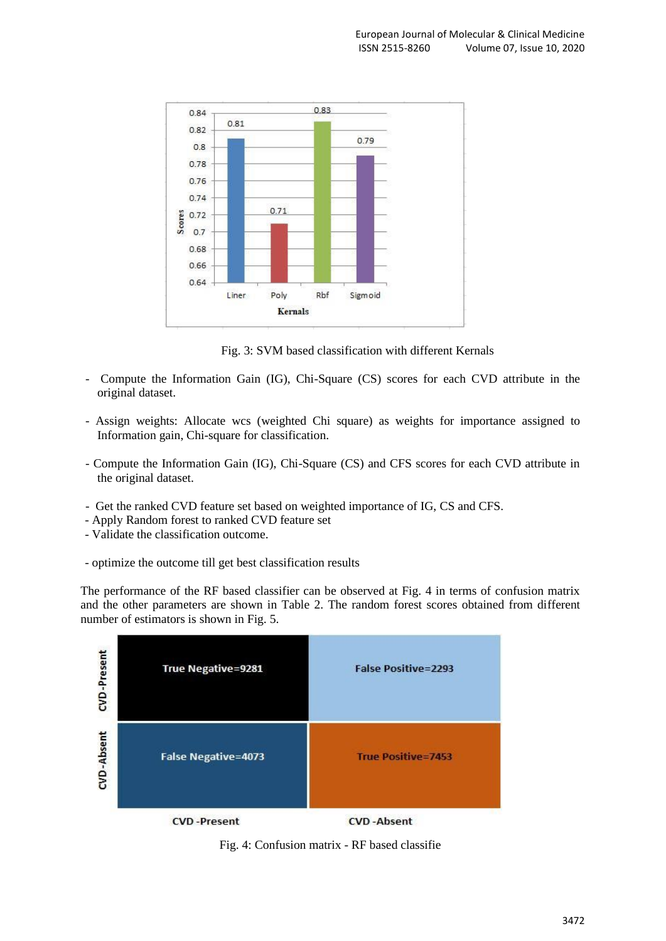

Fig. 3: SVM based classification with different Kernals

- Compute the Information Gain (IG), Chi-Square (CS) scores for each CVD attribute in the original dataset.
- Assign weights: Allocate wcs (weighted Chi square) as weights for importance assigned to Information gain, Chi-square for classification.
- Compute the Information Gain (IG), Chi-Square (CS) and CFS scores for each CVD attribute in the original dataset.
- Get the ranked CVD feature set based on weighted importance of IG, CS and CFS.
- Apply Random forest to ranked CVD feature set
- Validate the classification outcome.
- optimize the outcome till get best classification results

The performance of the RF based classifier can be observed at Fig. 4 in terms of confusion matrix and the other parameters are shown in Table 2. The random forest scores obtained from different number of estimators is shown in Fig. 5.



Fig. 4: Confusion matrix - RF based classifie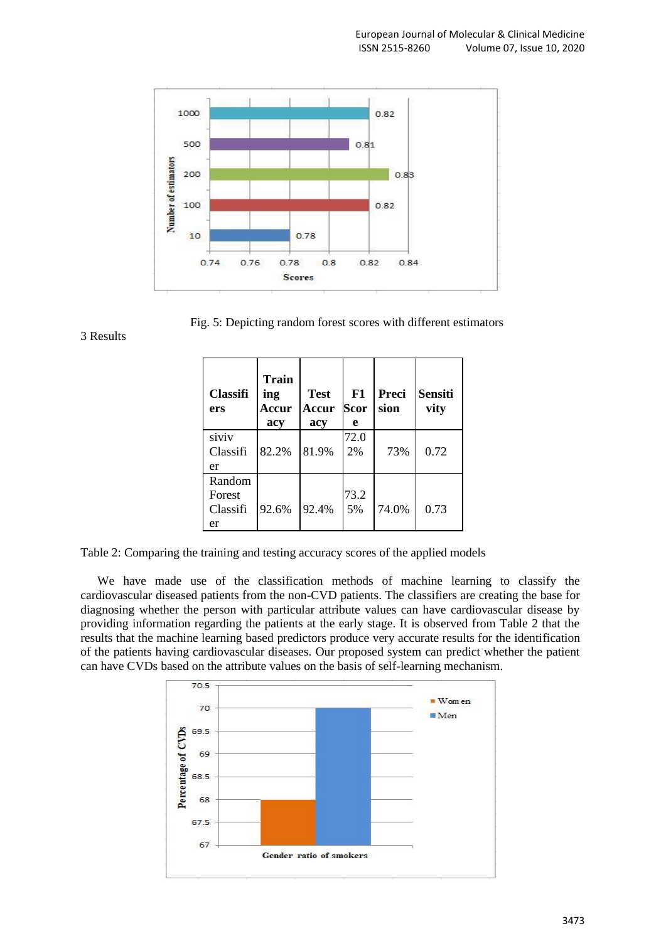

Fig. 5: Depicting random forest scores with different estimators

3 Results

| <b>Classifi</b><br>ers             | <b>Train</b><br>ing<br>Accur<br>acy | <b>Test</b><br>Accur<br>acy | F1<br>Scor<br>e | Preci<br>sion | <b>Sensiti</b><br>vity |
|------------------------------------|-------------------------------------|-----------------------------|-----------------|---------------|------------------------|
| siviv<br>Classifi<br>er            | 82.2%                               | 81.9%                       | 72.0<br>2%      | 73%           | 0.72                   |
| Random<br>Forest<br>Classifi<br>er | 92.6%                               | 92.4%                       | 73.2<br>5%      | 74.0%         | 0.73                   |

Table 2: Comparing the training and testing accuracy scores of the applied models

We have made use of the classification methods of machine learning to classify the cardiovascular diseased patients from the non-CVD patients. The classifiers are creating the base for diagnosing whether the person with particular attribute values can have cardiovascular disease by providing information regarding the patients at the early stage. It is observed from Table 2 that the results that the machine learning based predictors produce very accurate results for the identification of the patients having cardiovascular diseases. Our proposed system can predict whether the patient can have CVDs based on the attribute values on the basis of self-learning mechanism.

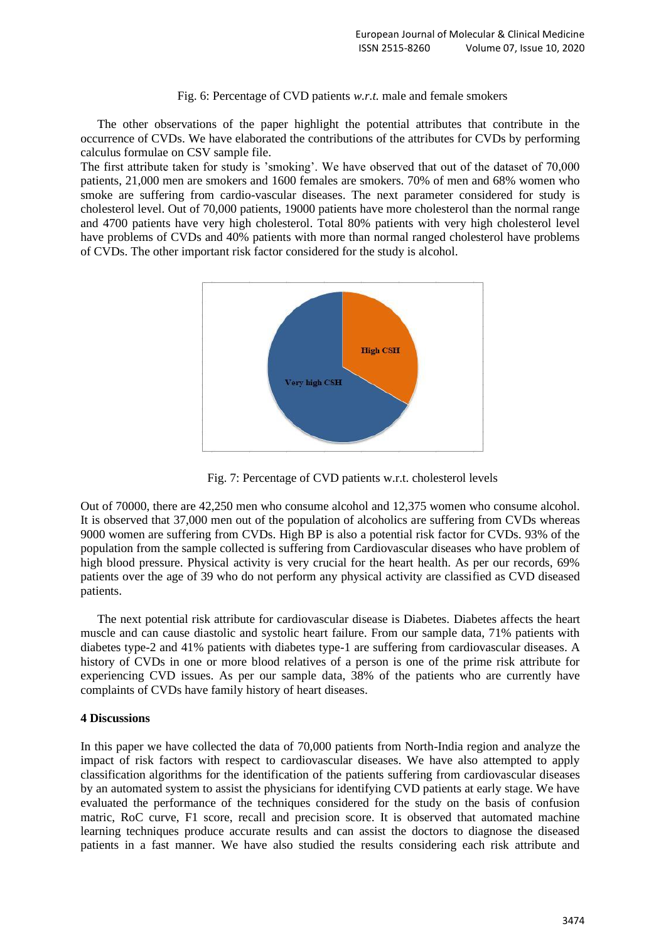## Fig. 6: Percentage of CVD patients *w.r.t.* male and female smokers

The other observations of the paper highlight the potential attributes that contribute in the occurrence of CVDs. We have elaborated the contributions of the attributes for CVDs by performing calculus formulae on CSV sample file.

The first attribute taken for study is 'smoking'. We have observed that out of the dataset of 70,000 patients, 21,000 men are smokers and 1600 females are smokers. 70% of men and 68% women who smoke are suffering from cardio-vascular diseases. The next parameter considered for study is cholesterol level. Out of 70,000 patients, 19000 patients have more cholesterol than the normal range and 4700 patients have very high cholesterol. Total 80% patients with very high cholesterol level have problems of CVDs and 40% patients with more than normal ranged cholesterol have problems of CVDs. The other important risk factor considered for the study is alcohol.



Fig. 7: Percentage of CVD patients w.r.t. cholesterol levels

Out of 70000, there are 42,250 men who consume alcohol and 12,375 women who consume alcohol. It is observed that 37,000 men out of the population of alcoholics are suffering from CVDs whereas 9000 women are suffering from CVDs. High BP is also a potential risk factor for CVDs. 93% of the population from the sample collected is suffering from Cardiovascular diseases who have problem of high blood pressure. Physical activity is very crucial for the heart health. As per our records, 69% patients over the age of 39 who do not perform any physical activity are classified as CVD diseased patients.

The next potential risk attribute for cardiovascular disease is Diabetes. Diabetes affects the heart muscle and can cause diastolic and systolic heart failure. From our sample data, 71% patients with diabetes type-2 and 41% patients with diabetes type-1 are suffering from cardiovascular diseases. A history of CVDs in one or more blood relatives of a person is one of the prime risk attribute for experiencing CVD issues. As per our sample data, 38% of the patients who are currently have complaints of CVDs have family history of heart diseases.

## **4 Discussions**

In this paper we have collected the data of 70,000 patients from North-India region and analyze the impact of risk factors with respect to cardiovascular diseases. We have also attempted to apply classification algorithms for the identification of the patients suffering from cardiovascular diseases by an automated system to assist the physicians for identifying CVD patients at early stage. We have evaluated the performance of the techniques considered for the study on the basis of confusion matric, RoC curve, F1 score, recall and precision score. It is observed that automated machine learning techniques produce accurate results and can assist the doctors to diagnose the diseased patients in a fast manner. We have also studied the results considering each risk attribute and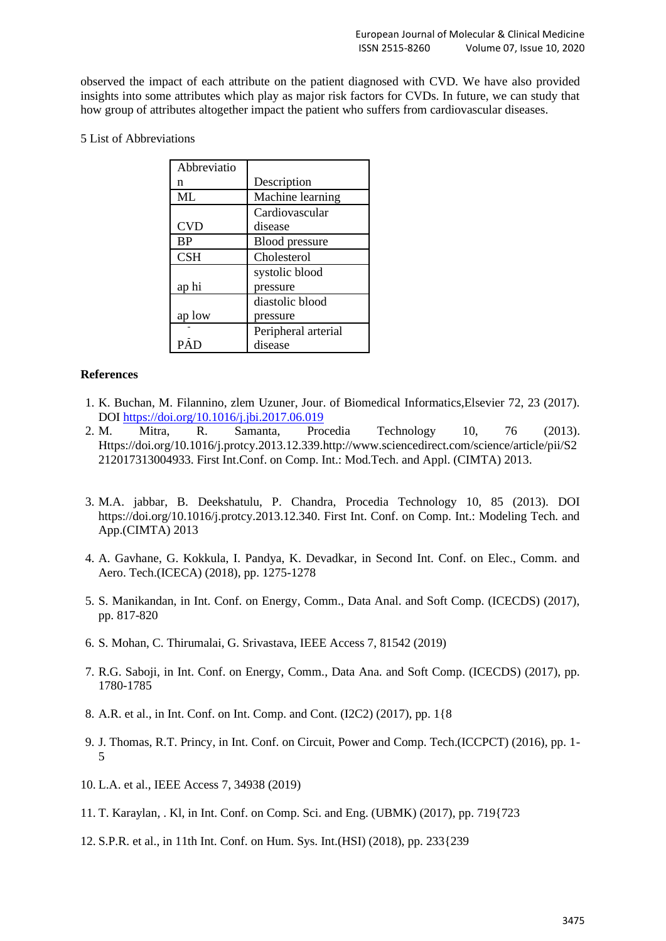observed the impact of each attribute on the patient diagnosed with CVD. We have also provided insights into some attributes which play as major risk factors for CVDs. In future, we can study that how group of attributes altogether impact the patient who suffers from cardiovascular diseases.

# 5 List of Abbreviations

| Abbreviatio |                       |  |  |
|-------------|-----------------------|--|--|
| n           | Description           |  |  |
| ML          | Machine learning      |  |  |
|             | Cardiovascular        |  |  |
| <b>CVD</b>  | disease               |  |  |
| <b>BP</b>   | <b>Blood</b> pressure |  |  |
| <b>CSH</b>  | Cholesterol           |  |  |
|             | systolic blood        |  |  |
| ap hi       | pressure              |  |  |
|             | diastolic blood       |  |  |
| ap low      | pressure              |  |  |
|             | Peripheral arterial   |  |  |
| PΑ          | disease               |  |  |

# **References**

- 1. K. Buchan, M. Filannino, zlem Uzuner, Jour. of Biomedical Informatics,Elsevier 72, 23 (2017). DOI<https://doi.org/10.1016/j.jbi.2017.06.019>
- 2. M. Mitra, R. Samanta, Procedia Technology 10, 76 (2013). Https://doi.org/10.1016/j.protcy.2013.12.339.http://www.sciencedirect.com/science/article/pii/S2 212017313004933. First Int.Conf. on Comp. Int.: Mod.Tech. and Appl. (CIMTA) 2013.
- 3. M.A. jabbar, B. Deekshatulu, P. Chandra, Procedia Technology 10, 85 (2013). DOI https://doi.org/10.1016/j.protcy.2013.12.340. First Int. Conf. on Comp. Int.: Modeling Tech. and App.(CIMTA) 2013
- 4. A. Gavhane, G. Kokkula, I. Pandya, K. Devadkar, in Second Int. Conf. on Elec., Comm. and Aero. Tech.(ICECA) (2018), pp. 1275-1278
- 5. S. Manikandan, in Int. Conf. on Energy, Comm., Data Anal. and Soft Comp. (ICECDS) (2017), pp. 817-820
- 6. S. Mohan, C. Thirumalai, G. Srivastava, IEEE Access 7, 81542 (2019)
- 7. R.G. Saboji, in Int. Conf. on Energy, Comm., Data Ana. and Soft Comp. (ICECDS) (2017), pp. 1780-1785
- 8. A.R. et al., in Int. Conf. on Int. Comp. and Cont. (I2C2) (2017), pp. 1{8
- 9. J. Thomas, R.T. Princy, in Int. Conf. on Circuit, Power and Comp. Tech.(ICCPCT) (2016), pp. 1- 5
- 10. L.A. et al., IEEE Access 7, 34938 (2019)
- 11. T. Karaylan, . Kl, in Int. Conf. on Comp. Sci. and Eng. (UBMK) (2017), pp. 719{723
- 12. S.P.R. et al., in 11th Int. Conf. on Hum. Sys. Int.(HSI) (2018), pp. 233{239